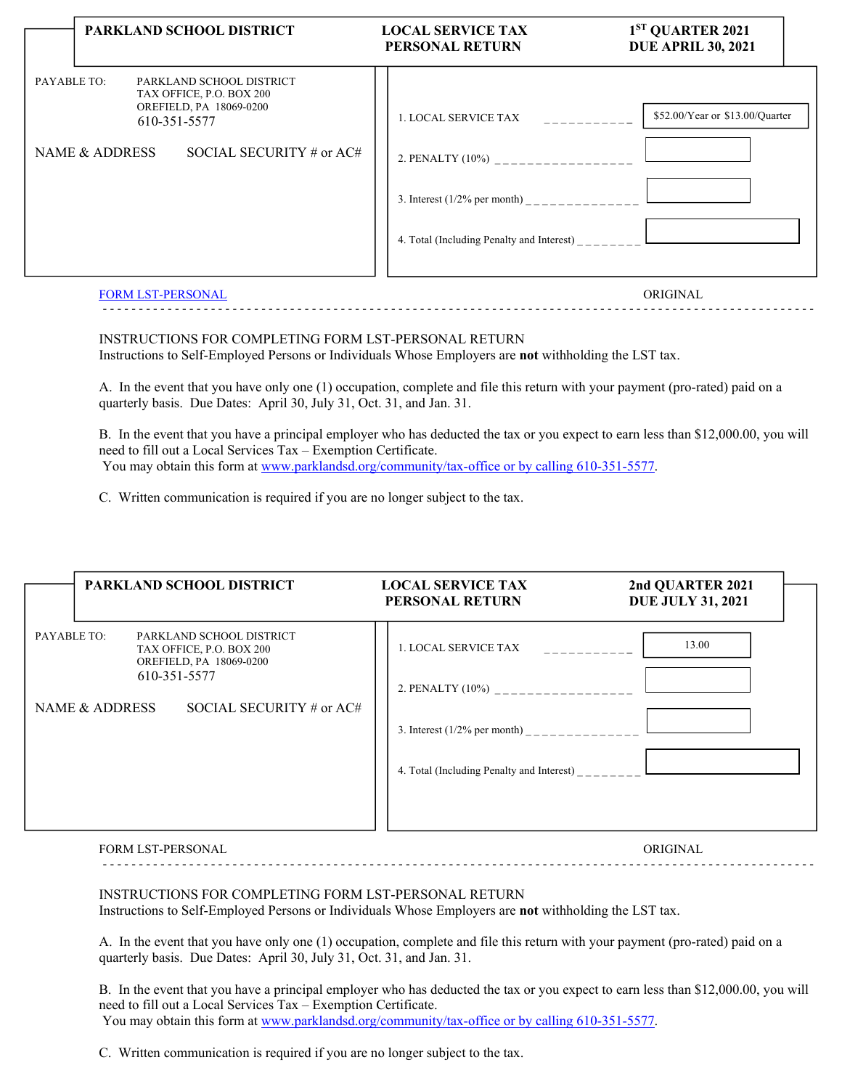|                               | PARKLAND SCHOOL DISTRICT                                                                                                    | <b>LOCAL SERVICE TAX</b><br><b>PERSONAL RETURN</b>                                                            | 1 <sup>ST</sup> QUARTER 2021<br><b>DUE APRIL 30, 2021</b> |
|-------------------------------|-----------------------------------------------------------------------------------------------------------------------------|---------------------------------------------------------------------------------------------------------------|-----------------------------------------------------------|
| PAYABLE TO:<br>NAME & ADDRESS | PARKLAND SCHOOL DISTRICT<br>TAX OFFICE, P.O. BOX 200<br>OREFIELD, PA 18069-0200<br>610-351-5577<br>SOCIAL SECURITY # or AC# | 1. LOCAL SERVICE TAX<br>2. PENALTY (10%) __________________<br>3. Interest $(1/2%$ per month) _______________ | \$52.00/Year or \$13.00/Quarter                           |
|                               | <b>FORM LST-PERSONAL</b>                                                                                                    |                                                                                                               | ORIGINAL                                                  |

INSTRUCTIONS FOR COMPLETING FORM LST-PERSONAL RETURN Instructions to Self-Employed Persons or Individuals Whose Employers are **not** withholding the LST tax.

A. In the event that you have only one (1) occupation, complete and file this return with your payment (pro-rated) paid on a quarterly basis. Due Dates: April 30, July 31, Oct. 31, and Jan. 31.

B. In the event that you have a principal employer who has deducted the tax or you expect to earn less than \$12,000.00, you will need to fill out a Local Services Tax – Exemption Certificate. You may obtain this form at www.parklandsd.org/community/tax-office or by calling 610-351-5577.

- - - - - - - - - - - - - - - - - - - - - - - - - - - - - - - - - - - - - - - - - - - - - - - - - - - - - - - - - - - - - - - - - - - - - - - - - - - - - - - - - - - - - - - - - - - - - - - - - - -

C. Written communication is required if you are no longer subject to the tax.

|                | PARKLAND SCHOOL DISTRICT                                                                        | <b>LOCAL SERVICE TAX</b><br>PERSONAL RETURN                                               | 2nd QUARTER 2021<br><b>DUE JULY 31, 2021</b> |
|----------------|-------------------------------------------------------------------------------------------------|-------------------------------------------------------------------------------------------|----------------------------------------------|
| PAYABLE TO:    | PARKLAND SCHOOL DISTRICT<br>TAX OFFICE, P.O. BOX 200<br>OREFIELD, PA 18069-0200<br>610-351-5577 | 1. LOCAL SERVICE TAX<br><u>in de de de de d</u>                                           | 13.00                                        |
| NAME & ADDRESS | SOCIAL SECURITY # or $AC#$                                                                      | 2. PENALTY (10%) __________________<br>4. Total (Including Penalty and Interest) ________ |                                              |

FORM LST-PERSONAL ORIGINAL - - - - - - - - - - - - - - - - - - - - - - - - - - - - - - - - - - - - - - - - - - - - - - - - - - - - - - - - - - - - - - - - - - - - - - - - - - - - - - - - - - - - - - - - - - - - - - - - - - -

INSTRUCTIONS FOR COMPLETING FORM LST-PERSONAL RETURN Instructions to Self-Employed Persons or Individuals Whose Employers are **not** withholding the LST tax.

A. In the event that you have only one (1) occupation, complete and file this return with your payment (pro-rated) paid on a quarterly basis. Due Dates: April 30, July 31, Oct. 31, and Jan. 31.

B. In the event that you have a principal employer who has deducted the tax or you expect to earn less than \$12,000.00, you will need to fill out a Local Services Tax – Exemption Certificate. You may obtain this form at www.parklandsd.org/community/tax-office or by calling 610-351-5577.

C. Written communication is required if you are no longer subject to the tax.